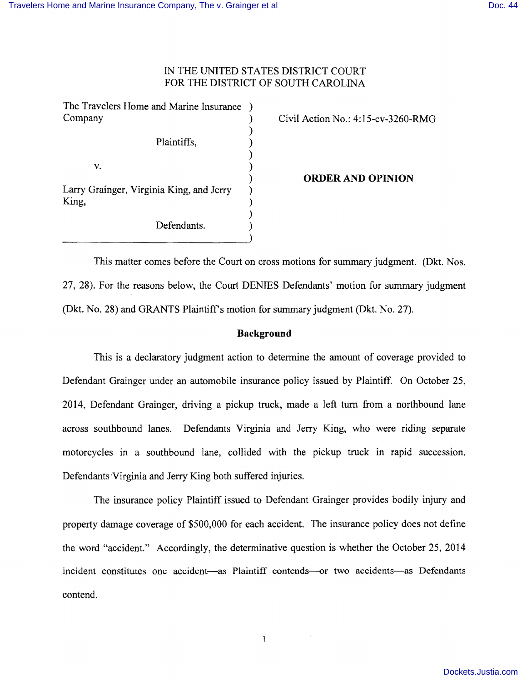# IN THE UNITED STATES DISTRICT COURT FOR THE DISTRICT OF SOUTH CAROLINA

)

)

)

The Travelers Home and Marine Insurance ) Company (Civil Action No.: 4:15-cv-3260-RMG)

Plaintiffs, (1)

 $v.$  )

Larry Grainger, Virginia King, and Jerry ) King,  $\qquad \qquad$  )

Defendants.

) **ORDER AND OPINION** 

This matter comes before the Court on cross motions for summary judgment. (Dkt. Nos. 27, 28). For the reasons below, the Court DENIES Defendants' motion for summary judgment (Dkt. No. 28) and GRANTS Plaintiffs motion for summary judgment (Dkt. No. 27).

## **Background**

This is a declaratory judgment action to determine the amount of coverage provided to Defendant Grainger under an automobile insurance policy issued by Plaintiff. On October 25, 2014, Defendant Grainger, driving a pickup truck, made a left turn from a northbound lane across southbound lanes. Defendants Virginia and Jerry King, who were riding separate motorcycles in a southbound lane, collided with the pickup truck in rapid succession. Defendants Virginia and Jerry King both suffered injuries.

The insurance policy Plaintiff issued to Defendant Grainger provides bodily injury and property damage coverage of \$500,000 for each accident. The insurance policy does not define the word "accident." Accordingly, the determinative question is whether the October 25, 2014 incident constitutes one accident-as Plaintiff contends---or two accidents---as Defendants contend.

 $\mathbf{I}$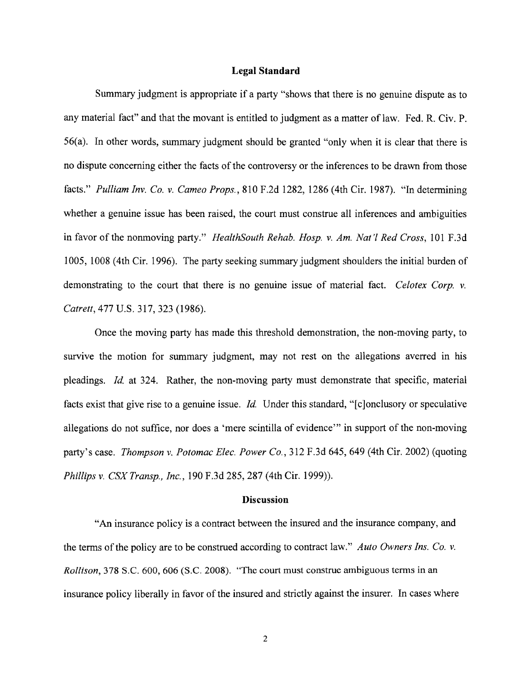### **Legal Standard**

Summary judgment is appropriate if a party "shows that there is no genuine dispute as to any material fact" and that the movant is entitled to judgment as a matter of law. Fed. R. Civ. P. 56(a). In other words, summary judgment should be granted "only when it is clear that there is no dispute concerning either the facts of the controversy or the inferences to be drawn from those facts." *Pulliam Inv. Co.* v. *Cameo Props.,* 810 F.2d 1282, 1286 (4th Cir. 1987). "In determining whether a genuine issue has been raised, the court must construe all inferences and ambiguities in favor of the nonmoving party." *HealthSouth Rehab. Hosp.* v. *Am. Nat* 'I *Red Cross,* 101 F.3d 1005, 1008 (4th Cir. 1996). The party seeking summary judgment shoulders the initial burden of demonstrating to the court that there is no genuine issue of material fact. *Celotex Corp.* v. *Catrett,* 477 U.S. 317,323 (1986).

Once the moving party has made this threshold demonstration, the non-moving party, to survive the motion for summary judgment, may not rest on the allegations averred in his pleadings. *Id* at 324. Rather, the non-moving party must demonstrate that specific, material facts exist that give rise to a genuine issue. *Id.* Under this standard, "[c]onclusory or speculative allegations do not suffice, nor does a 'mere scintilla of evidence'" in support of the non-moving party's case. *Thompson* v. *Potomac Elec. Power Co.,* 312 F.3d 645,649 (4th Cir. 2002) (quoting *Phillips* v. *CSXTransp., Inc.,* 190 F.3d 285, 287 (4th Cir. 1999)).

#### **Discussion**

"An insurance policy is a contract between the insured and the insurance company, and the terms of the policy are to be construed according to contract law." *Auto Owners Ins. Co. v. Rollison,* 378 S.C. 600, 606 (S.C. 2008). "The court must construe ambiguous terms in an insurance policy liberally in favor of the insured and strictly against the insurer. In cases where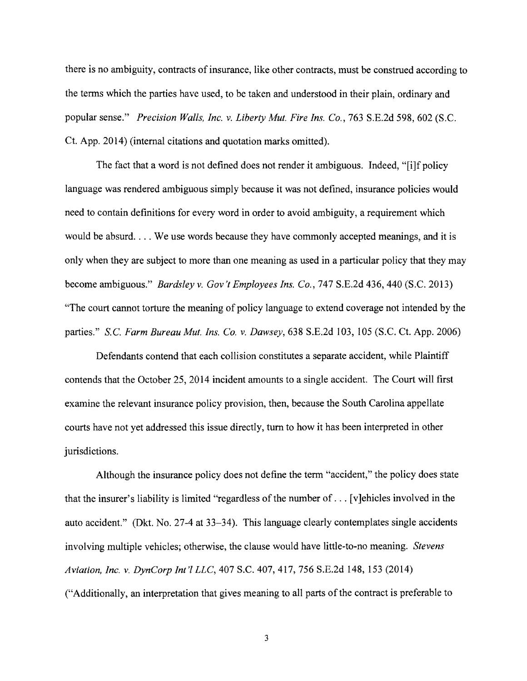there is no ambiguity, contracts of insurance, like other contracts, must be construed according to the terms which the parties have used, to be taken and understood in their plain, ordinary and popular sense." *Precision Walls, Inc.* v. *Liberty Mut. Fire Ins. Co.,* 763 S.E.2d 598,602 (S.C. Ct. App. 2014) (internal citations and quotation marks omitted).

The fact that a word is not defined does not render it ambiguous. Indeed, "[i]f policy language was rendered ambiguous simply because it was not defined, insurance policies would need to contain definitions for every word in order to avoid ambiguity, a requirement which would be absurd. ... We use words because they have commonly accepted meanings, and it is only when they are subject to more than one meaning as used in a particular policy that they may become ambiguous." *Bardsley* v. *Gov 't Employees Ins. Co.,* 747 S.E.2d 436,440 (S.C. 2013) "The court cannot torture the meaning of policy language to extend coverage not intended by the parties." s.c. *Farm Bureau Mut. Ins. Co.* v. *Dawsey,* 638 S.E.2d 103, 105 (S.C. Ct. App. 2006)

Defendants contend that each collision constitutes a separate accident, while Plaintiff contends that the October 25,2014 incident amounts to a single accident. The Court will first examine the relevant insurance policy provision, then, because the South Carolina appellate courts have not yet addressed this issue directly, tum to how it has been interpreted in other jurisdictions.

Although the insurance policy does not define the term "accident," the policy does state that the insurer's liability is limited "regardless of the number of ... [v]ehicles involved in the auto accident." (Dkt. No. 27-4 at 33-34). This language clearly contemplates single accidents involving multiple vehicles; otherwise, the clause would have little-to-no meaning. *Stevens Aviation, Inc.* v. *DynCorp Int'l LLC,* 407 S.C. 407, 417, 756 S.E.2d 148, 153 (2014) ("Additionally, an interpretation that gives meaning to all parts of the contract is preferable to

3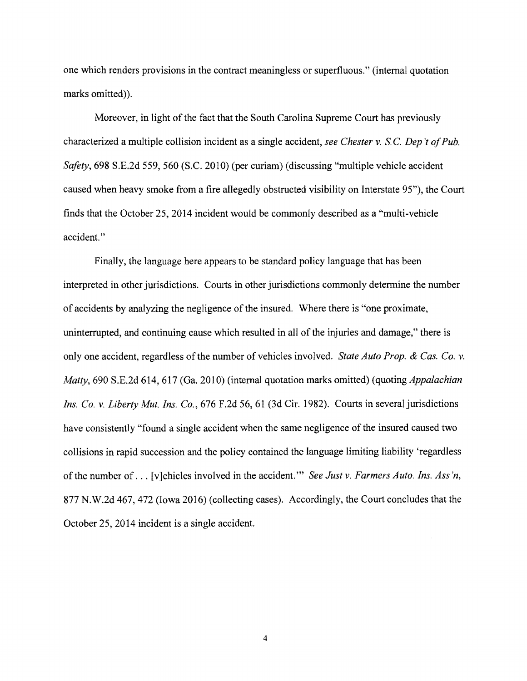one which renders provisions in the contract meaningless or superfluous." (internal quotation marks omitted)).

Moreover, in light of the fact that the South Carolina Supreme Court has previously characterized a multiple collision incident as a single accident, *see Chester* v. S. C. *Dep't ofPub. Safety*, 698 S.E.2d 559, 560 (S.C. 2010) (per curiam) (discussing "multiple vehicle accident caused when heavy smoke from a fire allegedly obstructed visibility on Interstate 95"), the Court finds that the October 25,2014 incident would be commonly described as a "multi-vehicle accident."

Finally, the language here appears to be standard policy language that has been interpreted in other jurisdictions. Courts in other jurisdictions commonly determine the number of accidents by analyzing the negligence of the insured. Where there is "one proximate, uninterrupted, and continuing cause which resulted in all of the injuries and damage," there is only one accident, regardless of the number of vehicles involved. *State Auto Prop. & Cas. Co. v. Matty,* 690 S.E.2d 614, 617 (Ga. 2010) (internal quotation marks omitted) (quoting *Appalachian Ins. Co. v. Liberty Mut. Ins. Co.,* 676 F.2d 56, 61 (3d Cir. 1982). Courts in several jurisdictions have consistently "found a single accident when the same negligence of the insured caused two collisions in rapid succession and the policy contained the language limiting liability 'regardless of the number of ... [vJehicles involved in the accident. '" *See Just* v. *Farmers Auto. Ins. Ass 'n,*  877 N.W.2d 467,472 (Iowa 2016) (collecting cases). Accordingly, the Court concludes that the October 25,2014 incident is a single accident.